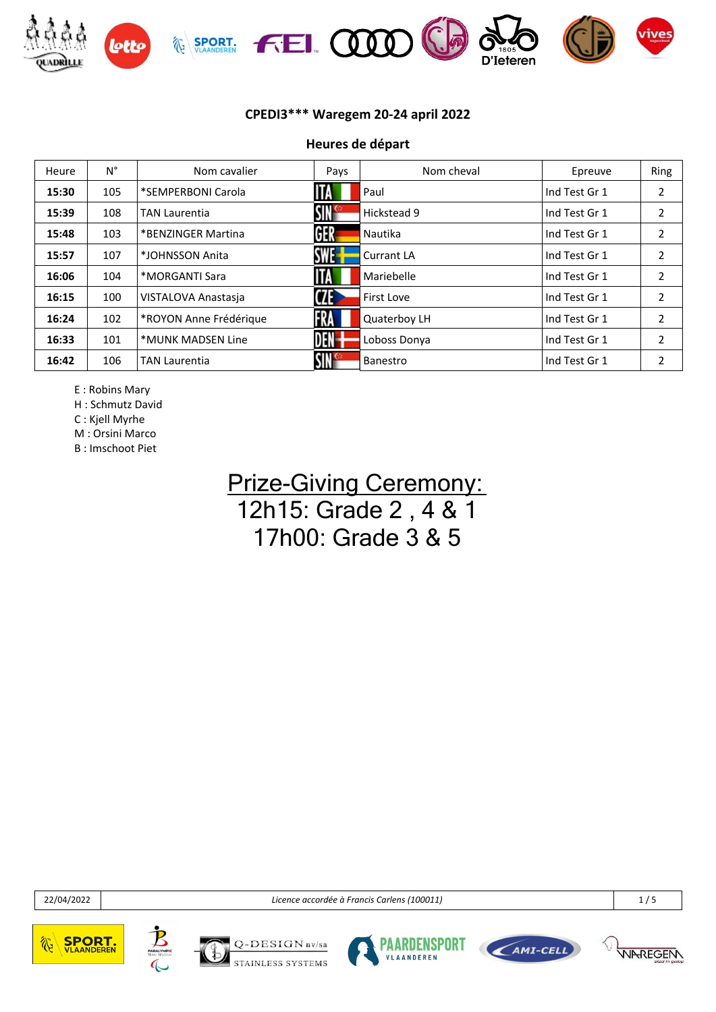

**Heures de départ**

| Heure | $N^{\circ}$ | Nom cavalier           | Pays                  | Nom cheval        | Epreuve       | Ring           |
|-------|-------------|------------------------|-----------------------|-------------------|---------------|----------------|
| 15:30 | 105         | *SEMPERBONI Carola     | ITA                   | Paul              | Ind Test Gr 1 | 2              |
| 15:39 | 108         | TAN Laurentia          | $\mathsf{SIN}^\infty$ | Hickstead 9       | Ind Test Gr 1 | 2              |
| 15:48 | 103         | *BENZINGER Martina     | GER                   | Nautika           | Ind Test Gr 1 | 2              |
| 15:57 | 107         | *JOHNSSON Anita        | <b>SWE-</b>           | <b>Currant LA</b> | Ind Test Gr 1 | 2              |
| 16:06 | 104         | *MORGANTI Sara         | <b>ITA</b>            | Mariebelle        | Ind Test Gr 1 | 2              |
| 16:15 | 100         | VISTALOVA Anastasia    | <b>CZE</b>            | First Love        | Ind Test Gr 1 | $\overline{2}$ |
| 16:24 | 102         | *ROYON Anne Frédérique | FRA                   | Quaterboy LH      | Ind Test Gr 1 | 2              |
| 16:33 | 101         | *MUNK MADSEN Line      | <b>DEN-</b>           | Loboss Donya      | Ind Test Gr 1 | 2              |
| 16:42 | 106         | TAN Laurentia          | SIN <sup>c</sup>      | Banestro          | Ind Test Gr 1 | 2              |

E : Robins Mary

H : Schmutz David

C : Kjell Myrhe

M : Orsini Marco

B : Imschoot Piet

### **Prize-Giving Ceremony:** 12h15: Grade 2 , 4 & 1 17h00: Grade 3 & 5

22/04/2022 *Licence accordée à Francis Carlens (100011)* 1 / 5









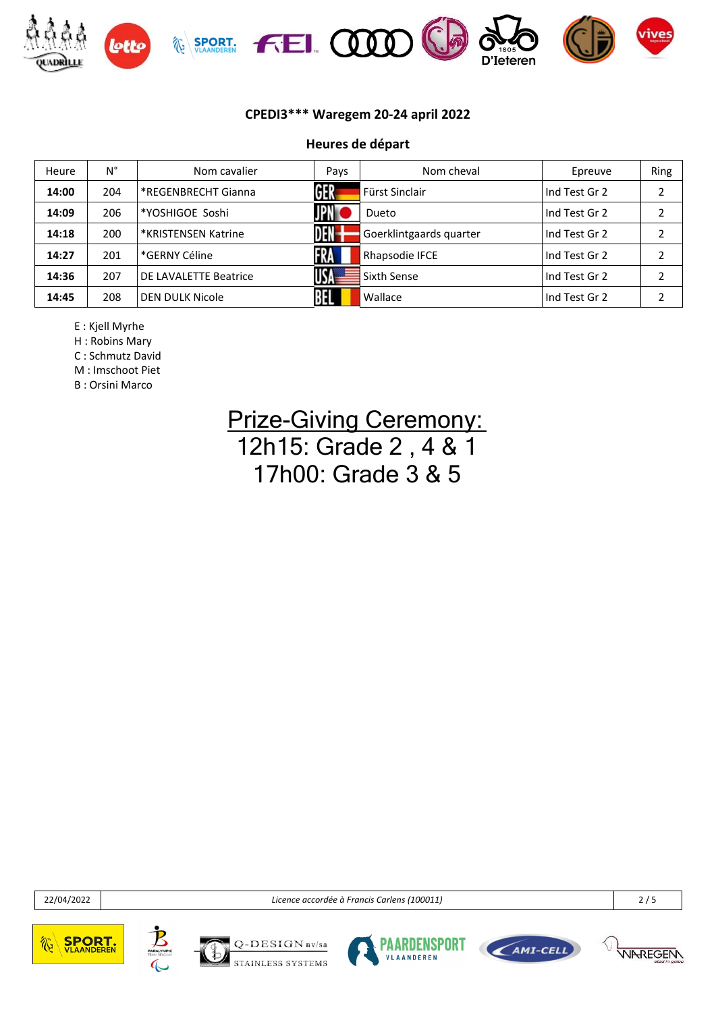

#### **Heures de départ**

| Heure | Ν°  | Nom cavalier          | Pays       | Nom cheval              | Epreuve       | Ring |
|-------|-----|-----------------------|------------|-------------------------|---------------|------|
| 14:00 | 204 | *REGENBRECHT Gianna   | <b>GER</b> | Fürst Sinclair          | Ind Test Gr 2 | ว    |
| 14:09 | 206 | *YOSHIGOE Soshi       | <b>JPN</b> | Dueto                   | Ind Test Gr 2 | ำ    |
| 14:18 | 200 | *KRISTENSEN Katrine   | DEN-       | Goerklintgaards quarter | Ind Test Gr 2 | 2    |
| 14:27 | 201 | *GERNY Céline         | RA         | Rhapsodie IFCE          | Ind Test Gr 2 | າ    |
| 14:36 | 207 | DE LAVALETTE Beatrice | USA=       | Sixth Sense             | Ind Test Gr 2 | 2    |
| 14:45 | 208 | DEN DULK Nicole       |            | Wallace                 | Ind Test Gr 2 | ำ    |

E : Kjell Myrhe

H : Robins Mary

C : Schmutz David

M : Imschoot Piet

B : Orsini Marco

## **Prize-Giving Ceremony:** 12h15: Grade 2 , 4 & 1 17h00: Grade 3 & 5

22/04/2022 *Licence accordée à Francis Carlens (100011)* 2 / 5









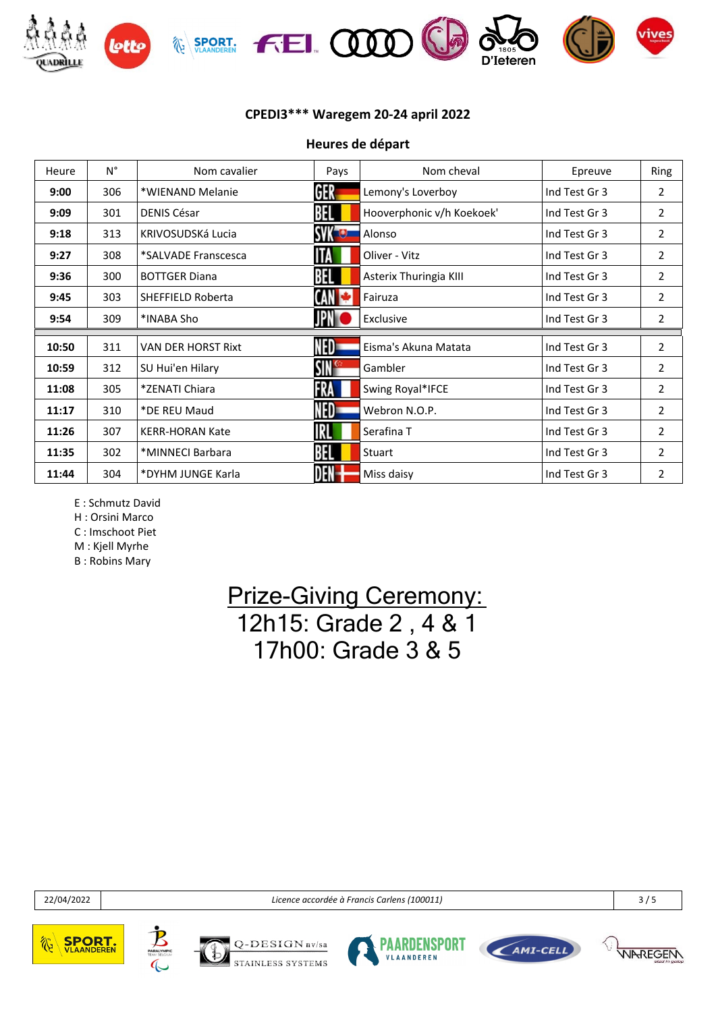

**Heures de départ**

| Heure | $N^{\circ}$ | Nom cavalier              | Pays             | Nom cheval                | Epreuve       | Ring           |
|-------|-------------|---------------------------|------------------|---------------------------|---------------|----------------|
| 9:00  | 306         | *WIENAND Melanie          | GER              | Lemony's Loverboy         | Ind Test Gr 3 | $\overline{2}$ |
| 9:09  | 301         | <b>DENIS César</b>        |                  | Hooverphonic v/h Koekoek' | Ind Test Gr 3 | 2              |
| 9:18  | 313         | KRIVOSUDSKÁ Lucia         | <b>SVK LUI</b>   | Alonso                    | Ind Test Gr 3 | 2              |
| 9:27  | 308         | *SALVADE Franscesca       |                  | Oliver - Vitz             | Ind Test Gr 3 | $\overline{2}$ |
| 9:36  | 300         | <b>BOTTGER Diana</b>      | BEL              | Asterix Thuringia KIII    | Ind Test Gr 3 | 2              |
| 9:45  | 303         | <b>SHEFFIELD Roberta</b>  | CAN              | Fairuza                   | Ind Test Gr 3 | 2              |
| 9:54  | 309         | *INABA Sho                |                  | Exclusive                 | Ind Test Gr 3 | $\overline{2}$ |
|       |             |                           |                  |                           |               |                |
| 10:50 | 311         | <b>VAN DER HORST Rixt</b> | NED-             | Eisma's Akuna Matata      | Ind Test Gr 3 | 2              |
| 10:59 | 312         | SU Hui'en Hilary          | SIN <sup>c</sup> | Gambler                   | Ind Test Gr 3 | $\overline{2}$ |
| 11:08 | 305         | *ZENATI Chiara            | FRA              | Swing Royal*IFCE          | Ind Test Gr 3 | $\overline{2}$ |
| 11:17 | 310         | *DE REU Maud              | NED-             | Webron N.O.P.             | Ind Test Gr 3 | 2              |
| 11:26 | 307         | <b>KERR-HORAN Kate</b>    | IRLI             | Serafina T                | Ind Test Gr 3 | 2              |
| 11:35 | 302         | *MINNECI Barbara          | BEL              | Stuart                    | Ind Test Gr 3 | $\overline{2}$ |
| 11:44 | 304         | *DYHM JUNGE Karla         |                  | Miss daisy                | Ind Test Gr 3 | 2              |
|       |             |                           |                  |                           |               |                |

E : Schmutz David

H : Orsini Marco

C : Imschoot Piet

M : Kjell Myrhe

B : Robins Mary

## **Prize-Giving Ceremony:** 12h15: Grade 2 , 4 & 1 17h00: Grade 3 & 5

22/04/2022 *Licence accordée à Francis Carlens (100011)* 3 / 5









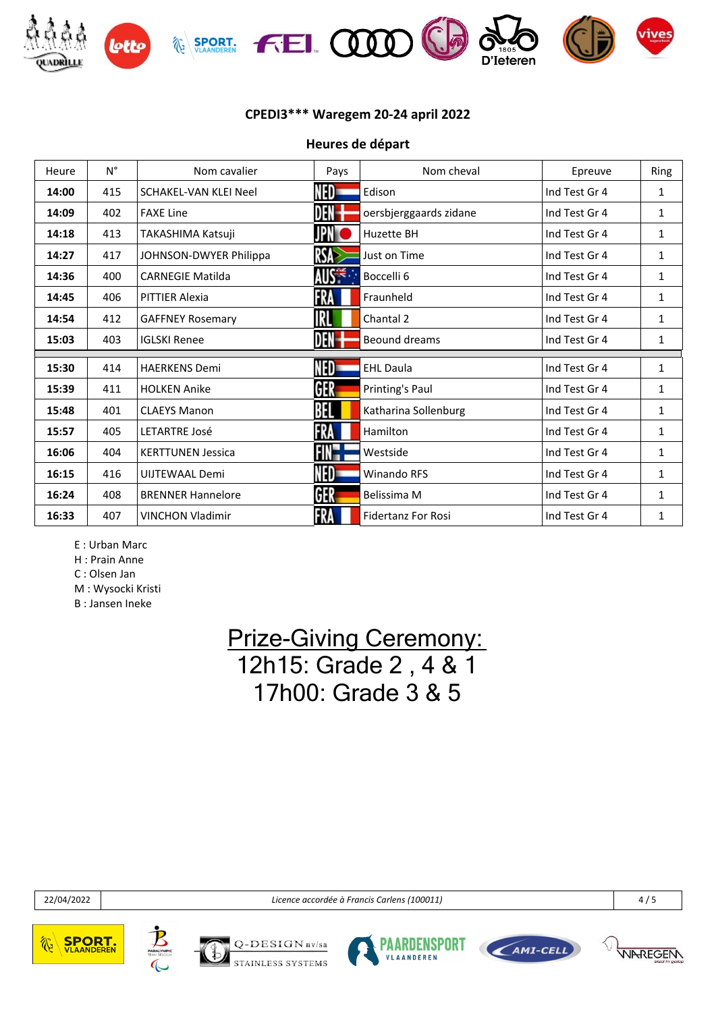

**Heures de départ**

| Heure | $N^{\circ}$ | Nom cavalier             | Pays        | Nom cheval                | Epreuve       | Ring |
|-------|-------------|--------------------------|-------------|---------------------------|---------------|------|
| 14:00 | 415         | SCHAKEL-VAN KLEI Neel    | NED=        | Edison                    | Ind Test Gr 4 | 1    |
| 14:09 | 402         | <b>FAXE Line</b>         | DEN-        | oersbjerggaards zidane    | Ind Test Gr 4 | 1    |
| 14:18 | 413         | TAKASHIMA Katsuji        | JPNT        | Huzette BH                | Ind Test Gr 4 | 1    |
| 14:27 | 417         | JOHNSON-DWYER Philippa   | <b>RSA</b>  | Just on Time              | Ind Test Gr 4 | 1    |
| 14:36 | 400         | <b>CARNEGIE Matilda</b>  | <b>AUSE</b> | Boccelli 6                | Ind Test Gr 4 | 1    |
| 14:45 | 406         | <b>PITTIER Alexia</b>    | FRA         | Fraunheld                 | Ind Test Gr 4 | 1    |
| 14:54 | 412         | <b>GAFFNEY Rosemary</b>  | IRL         | Chantal 2                 | Ind Test Gr 4 | 1    |
| 15:03 | 403         | <b>IGLSKI Renee</b>      | DEN         | Beound dreams             | Ind Test Gr 4 | 1    |
|       |             |                          |             |                           |               |      |
| 15:30 | 414         | <b>HAERKENS Demi</b>     | NED=        | <b>EHL Daula</b>          | Ind Test Gr 4 | 1    |
| 15:39 | 411         | <b>HOLKEN Anike</b>      | GER         | Printing's Paul           | Ind Test Gr 4 | 1    |
| 15:48 | 401         | <b>CLAEYS Manon</b>      | BEL         | Katharina Sollenburg      | Ind Test Gr 4 | 1    |
| 15:57 | 405         | <b>LETARTRE José</b>     | FRA         | Hamilton                  | Ind Test Gr 4 | 1    |
| 16:06 | 404         | <b>KERTTUNEN Jessica</b> | FIN-H       | Westside                  | Ind Test Gr 4 | 1    |
| 16:15 | 416         | UIJTEWAAL Demi           | NED=        | <b>Winando RFS</b>        | Ind Test Gr 4 | 1    |
| 16:24 | 408         | <b>BRENNER Hannelore</b> | GER         | Belissima M               | Ind Test Gr 4 | 1    |
| 16:33 | 407         | <b>VINCHON Vladimir</b>  | FRA         | <b>Fidertanz For Rosi</b> | Ind Test Gr 4 | 1    |

E : Urban Marc

H : Prain Anne

C : Olsen Jan

M : Wysocki Kristi

B : Jansen Ineke

### **Prize-Giving Ceremony:** 12h15: Grade 2 , 4 & 1 17h00: Grade 3 & 5

22/04/2022 *Licence accordée à Francis Carlens (100011)* 4 / 5